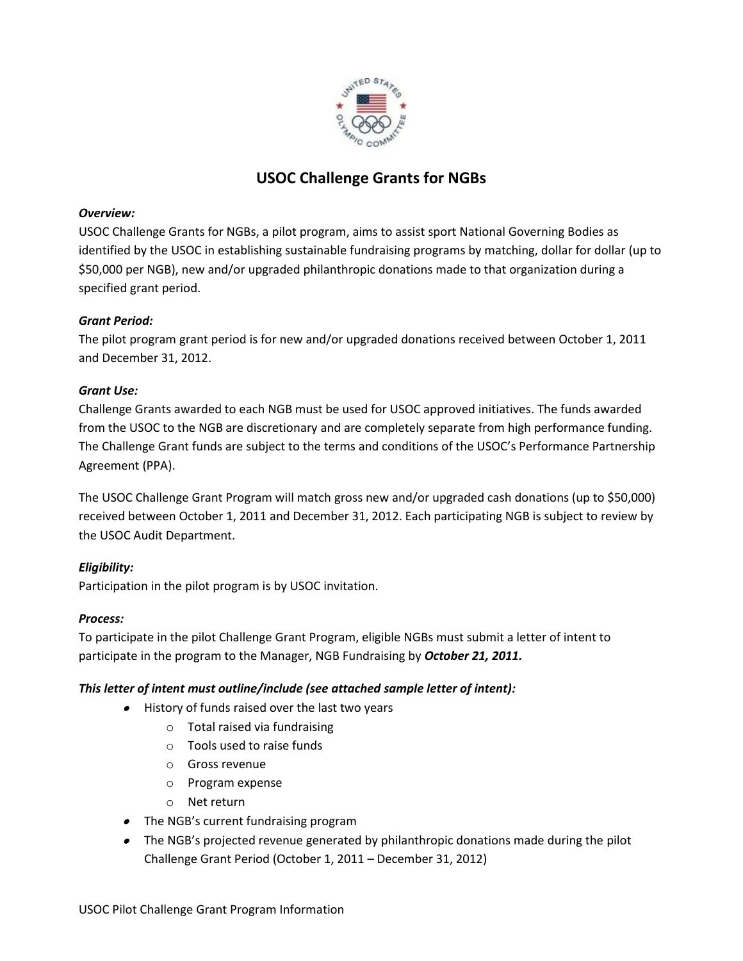

# **USOC Challenge Grants for NGBs**

# *Overview:*

USOC Challenge Grants for NGBs, a pilot program, aims to assist sport National Governing Bodies as identified by the USOC in establishing sustainable fundraising programs by matching, dollar for dollar (up to \$50,000 per NGB), new and/or upgraded philanthropic donations made to that organization during a specified grant period.

# *Grant Period:*

The pilot program grant period is for new and/or upgraded donations received between October 1, 2011 and December 31, 2012.

# *Grant Use:*

Challenge Grants awarded to each NGB must be used for USOC approved initiatives. The funds awarded from the USOC to the NGB are discretionary and are completely separate from high performance funding. The Challenge Grant funds are subject to the terms and conditions of the USOC's Performance Partnership Agreement (PPA).

The USOC Challenge Grant Program will match gross new and/or upgraded cash donations (up to \$50,000) received between October 1, 2011 and December 31, 2012. Each participating NGB is subject to review by the USOC Audit Department.

# *Eligibility:*

Participation in the pilot program is by USOC invitation.

#### *Process:*

To participate in the pilot Challenge Grant Program, eligible NGBs must submit a letter of intent to participate in the program to the Manager, NGB Fundraising by *October 21, 2011.*

# *This letter of intent must outline/include (see attached sample letter of intent):*

- History of funds raised over the last two years
	- o Total raised via fundraising
	- o Tools used to raise funds
	- o Gross revenue
	- o Program expense
	- o Net return
- The NGB's current fundraising program
- The NGB's projected revenue generated by philanthropic donations made during the pilot Challenge Grant Period (October 1, 2011 – December 31, 2012)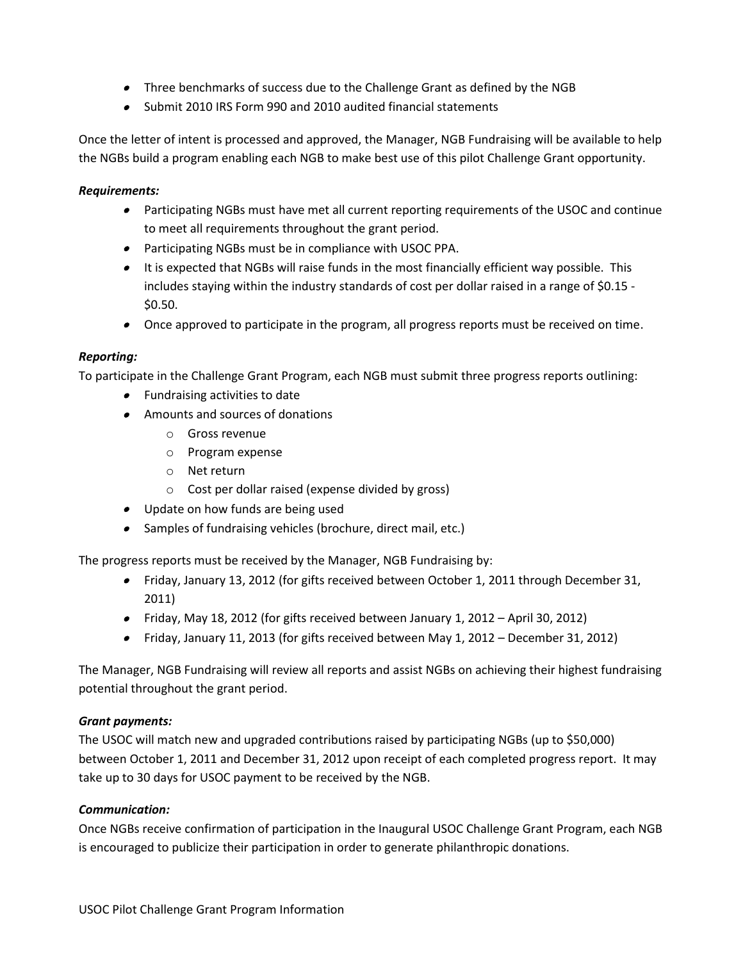- Three benchmarks of success due to the Challenge Grant as defined by the NGB
- Submit 2010 IRS Form 990 and 2010 audited financial statements

Once the letter of intent is processed and approved, the Manager, NGB Fundraising will be available to help the NGBs build a program enabling each NGB to make best use of this pilot Challenge Grant opportunity.

# *Requirements:*

- Participating NGBs must have met all current reporting requirements of the USOC and continue to meet all requirements throughout the grant period.
- Participating NGBs must be in compliance with USOC PPA.
- It is expected that NGBs will raise funds in the most financially efficient way possible. This includes staying within the industry standards of cost per dollar raised in a range of \$0.15 -\$0.50.
- Once approved to participate in the program, all progress reports must be received on time.

# *Reporting:*

To participate in the Challenge Grant Program, each NGB must submit three progress reports outlining:

- Fundraising activities to date
- Amounts and sources of donations
	- o Gross revenue
	- o Program expense
	- o Net return
	- o Cost per dollar raised (expense divided by gross)
- Update on how funds are being used
- Samples of fundraising vehicles (brochure, direct mail, etc.)

The progress reports must be received by the Manager, NGB Fundraising by:

- Friday, January 13, 2012 (for gifts received between October 1, 2011 through December 31, 2011)
- Friday, May 18, 2012 (for gifts received between January 1, 2012 April 30, 2012)
- Friday, January 11, 2013 (for gifts received between May 1, 2012 December 31, 2012)

The Manager, NGB Fundraising will review all reports and assist NGBs on achieving their highest fundraising potential throughout the grant period.

#### *Grant payments:*

The USOC will match new and upgraded contributions raised by participating NGBs (up to \$50,000) between October 1, 2011 and December 31, 2012 upon receipt of each completed progress report. It may take up to 30 days for USOC payment to be received by the NGB.

#### *Communication:*

Once NGBs receive confirmation of participation in the Inaugural USOC Challenge Grant Program, each NGB is encouraged to publicize their participation in order to generate philanthropic donations.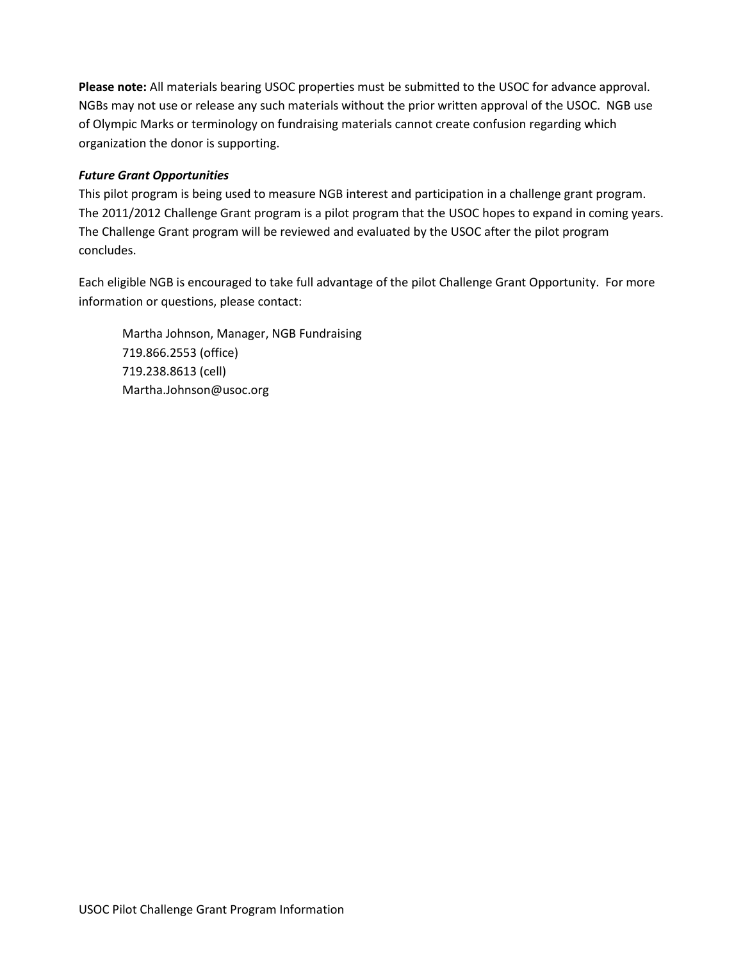**Please note:** All materials bearing USOC properties must be submitted to the USOC for advance approval. NGBs may not use or release any such materials without the prior written approval of the USOC. NGB use of Olympic Marks or terminology on fundraising materials cannot create confusion regarding which organization the donor is supporting.

# *Future Grant Opportunities*

This pilot program is being used to measure NGB interest and participation in a challenge grant program. The 2011/2012 Challenge Grant program is a pilot program that the USOC hopes to expand in coming years. The Challenge Grant program will be reviewed and evaluated by the USOC after the pilot program concludes.

Each eligible NGB is encouraged to take full advantage of the pilot Challenge Grant Opportunity. For more information or questions, please contact:

Martha Johnson, Manager, NGB Fundraising 719.866.2553 (office) 719.238.8613 (cell) Martha.Johnson@usoc.org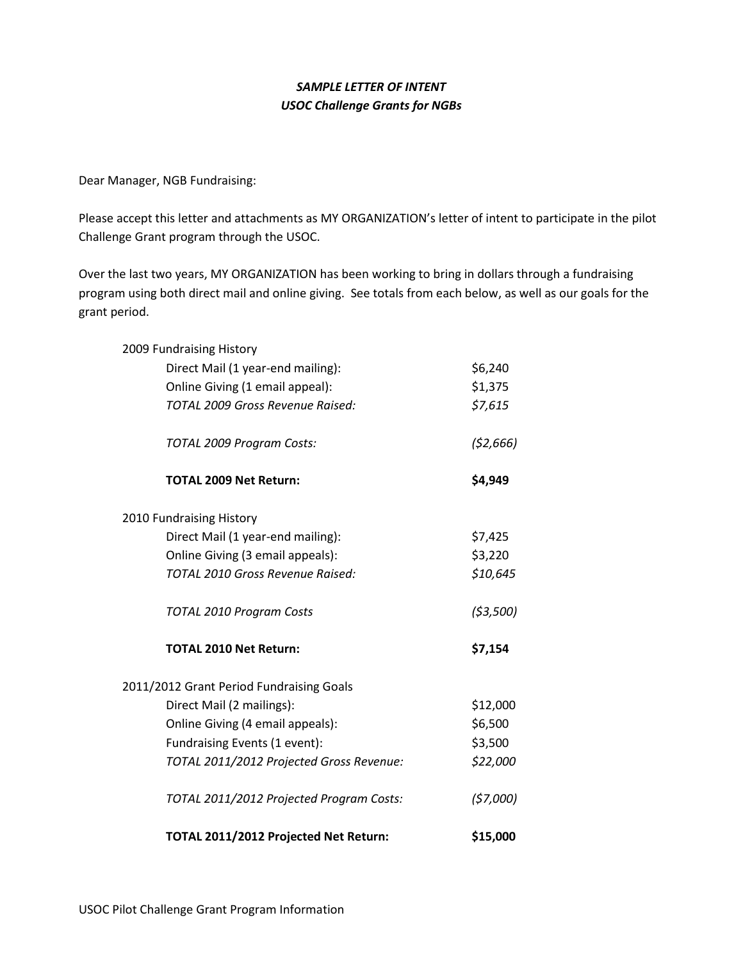# *SAMPLE LETTER OF INTENT USOC Challenge Grants for NGBs*

Dear Manager, NGB Fundraising:

Please accept this letter and attachments as MY ORGANIZATION's letter of intent to participate in the pilot Challenge Grant program through the USOC.

Over the last two years, MY ORGANIZATION has been working to bring in dollars through a fundraising program using both direct mail and online giving. See totals from each below, as well as our goals for the grant period.

| 2009 Fundraising History                 |           |
|------------------------------------------|-----------|
| Direct Mail (1 year-end mailing):        | \$6,240   |
| Online Giving (1 email appeal):          | \$1,375   |
| TOTAL 2009 Gross Revenue Raised:         | \$7,615   |
| TOTAL 2009 Program Costs:                | (52, 666) |
| <b>TOTAL 2009 Net Return:</b>            | \$4,949   |
| 2010 Fundraising History                 |           |
| Direct Mail (1 year-end mailing):        | \$7,425   |
| Online Giving (3 email appeals):         | \$3,220   |
| TOTAL 2010 Gross Revenue Raised:         | \$10,645  |
| TOTAL 2010 Program Costs                 | (53,500)  |
| <b>TOTAL 2010 Net Return:</b>            | \$7,154   |
| 2011/2012 Grant Period Fundraising Goals |           |
| Direct Mail (2 mailings):                | \$12,000  |
| Online Giving (4 email appeals):         | \$6,500   |
| Fundraising Events (1 event):            | \$3,500   |
| TOTAL 2011/2012 Projected Gross Revenue: | \$22,000  |
| TOTAL 2011/2012 Projected Program Costs: | (57,000)  |
| TOTAL 2011/2012 Projected Net Return:    | \$15,000  |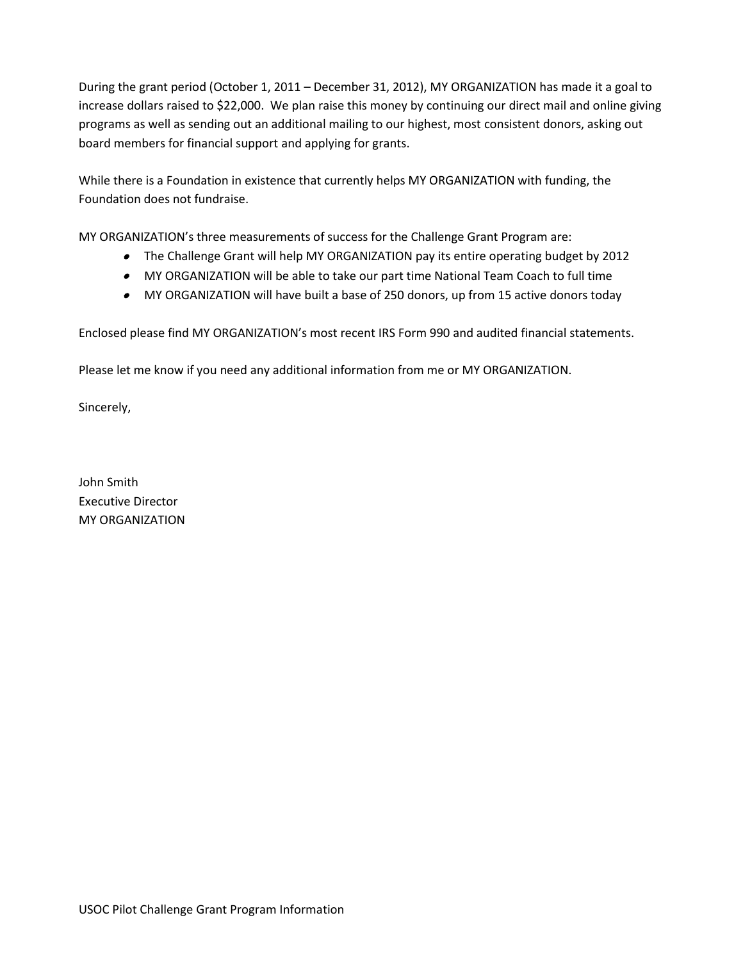During the grant period (October 1, 2011 – December 31, 2012), MY ORGANIZATION has made it a goal to increase dollars raised to \$22,000. We plan raise this money by continuing our direct mail and online giving programs as well as sending out an additional mailing to our highest, most consistent donors, asking out board members for financial support and applying for grants.

While there is a Foundation in existence that currently helps MY ORGANIZATION with funding, the Foundation does not fundraise.

MY ORGANIZATION's three measurements of success for the Challenge Grant Program are:

- The Challenge Grant will help MY ORGANIZATION pay its entire operating budget by 2012
- MY ORGANIZATION will be able to take our part time National Team Coach to full time
- MY ORGANIZATION will have built a base of 250 donors, up from 15 active donors today

Enclosed please find MY ORGANIZATION's most recent IRS Form 990 and audited financial statements.

Please let me know if you need any additional information from me or MY ORGANIZATION.

Sincerely,

John Smith Executive Director MY ORGANIZATION